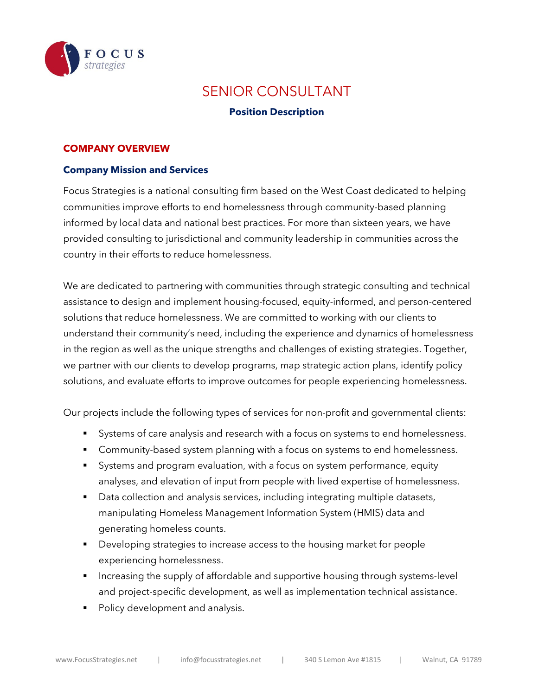

# SENIOR CONSULTANT

# **Position Description**

#### **COMPANY OVERVIEW**

#### **Company Mission and Services**

Focus Strategies is a national consulting firm based on the West Coast dedicated to helping communities improve efforts to end homelessness through community-based planning informed by local data and national best practices. For more than sixteen years, we have provided consulting to jurisdictional and community leadership in communities across the country in their efforts to reduce homelessness.

We are dedicated to partnering with communities through strategic consulting and technical assistance to design and implement housing-focused, equity-informed, and person-centered solutions that reduce homelessness. We are committed to working with our clients to understand their community's need, including the experience and dynamics of homelessness in the region as well as the unique strengths and challenges of existing strategies. Together, we partner with our clients to develop programs, map strategic action plans, identify policy solutions, and evaluate efforts to improve outcomes for people experiencing homelessness.

Our projects include the following types of services for non-profit and governmental clients:

- Systems of care analysis and research with a focus on systems to end homelessness.
- **Community-based system planning with a focus on systems to end homelessness.**
- Systems and program evaluation, with a focus on system performance, equity analyses, and elevation of input from people with lived expertise of homelessness.
- **Data collection and analysis services, including integrating multiple datasets,** manipulating Homeless Management Information System (HMIS) data and generating homeless counts.
- **Developing strategies to increase access to the housing market for people** experiencing homelessness.
- Increasing the supply of affordable and supportive housing through systems-level and project-specific development, as well as implementation technical assistance.
- Policy development and analysis.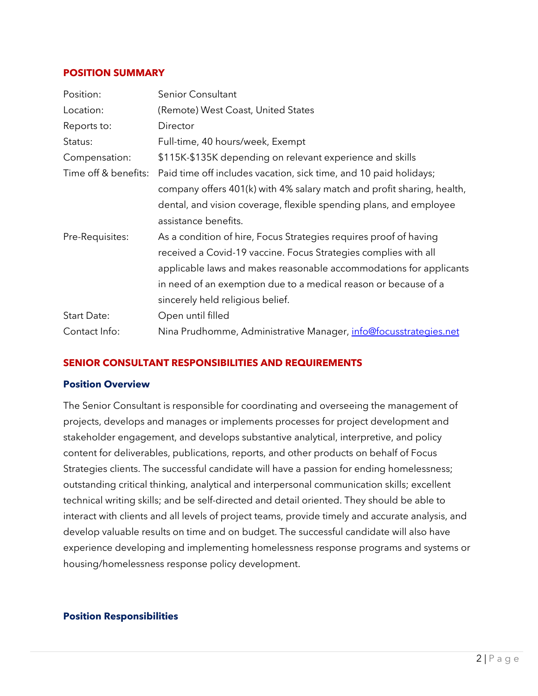#### **POSITION SUMMARY**

| Position:            | Senior Consultant                                                       |
|----------------------|-------------------------------------------------------------------------|
| Location:            | (Remote) West Coast, United States                                      |
| Reports to:          | Director                                                                |
| Status:              | Full-time, 40 hours/week, Exempt                                        |
| Compensation:        | \$115K-\$135K depending on relevant experience and skills               |
| Time off & benefits: | Paid time off includes vacation, sick time, and 10 paid holidays;       |
|                      | company offers 401(k) with 4% salary match and profit sharing, health,  |
|                      | dental, and vision coverage, flexible spending plans, and employee      |
|                      | assistance benefits.                                                    |
| Pre-Requisites:      | As a condition of hire, Focus Strategies requires proof of having       |
|                      | received a Covid-19 vaccine. Focus Strategies complies with all         |
|                      | applicable laws and makes reasonable accommodations for applicants      |
|                      | in need of an exemption due to a medical reason or because of a         |
|                      | sincerely held religious belief.                                        |
| Start Date:          | Open until filled                                                       |
| Contact Info:        | Nina Prudhomme, Administrative Manager, <i>info@focusstrategies.net</i> |

#### **SENIOR CONSULTANT RESPONSIBILITIES AND REQUIREMENTS**

#### **Position Overview**

The Senior Consultant is responsible for coordinating and overseeing the management of projects, develops and manages or implements processes for project development and stakeholder engagement, and develops substantive analytical, interpretive, and policy content for deliverables, publications, reports, and other products on behalf of Focus Strategies clients. The successful candidate will have a passion for ending homelessness; outstanding critical thinking, analytical and interpersonal communication skills; excellent technical writing skills; and be self-directed and detail oriented. They should be able to interact with clients and all levels of project teams, provide timely and accurate analysis, and develop valuable results on time and on budget. The successful candidate will also have experience developing and implementing homelessness response programs and systems or housing/homelessness response policy development.

#### **Position Responsibilities**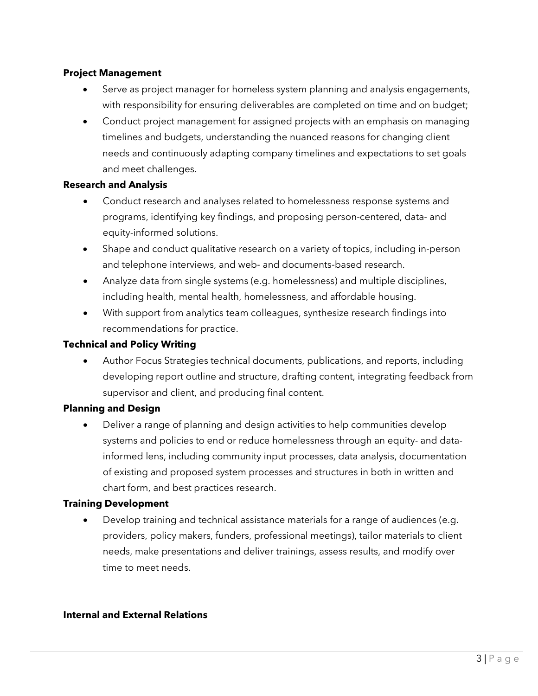# **Project Management**

- Serve as project manager for homeless system planning and analysis engagements, with responsibility for ensuring deliverables are completed on time and on budget;
- Conduct project management for assigned projects with an emphasis on managing timelines and budgets, understanding the nuanced reasons for changing client needs and continuously adapting company timelines and expectations to set goals and meet challenges.

# **Research and Analysis**

- Conduct research and analyses related to homelessness response systems and programs, identifying key findings, and proposing person-centered, data- and equity-informed solutions.
- Shape and conduct qualitative research on a variety of topics, including in-person and telephone interviews, and web‐ and documents‐based research.
- Analyze data from single systems (e.g. homelessness) and multiple disciplines, including health, mental health, homelessness, and affordable housing.
- With support from analytics team colleagues, synthesize research findings into recommendations for practice.

# **Technical and Policy Writing**

• Author Focus Strategies technical documents, publications, and reports, including developing report outline and structure, drafting content, integrating feedback from supervisor and client, and producing final content.

# **Planning and Design**

• Deliver a range of planning and design activities to help communities develop systems and policies to end or reduce homelessness through an equity- and datainformed lens, including community input processes, data analysis, documentation of existing and proposed system processes and structures in both in written and chart form, and best practices research.

# **Training Development**

• Develop training and technical assistance materials for a range of audiences (e.g. providers, policy makers, funders, professional meetings), tailor materials to client needs, make presentations and deliver trainings, assess results, and modify over time to meet needs.

#### **Internal and External Relations**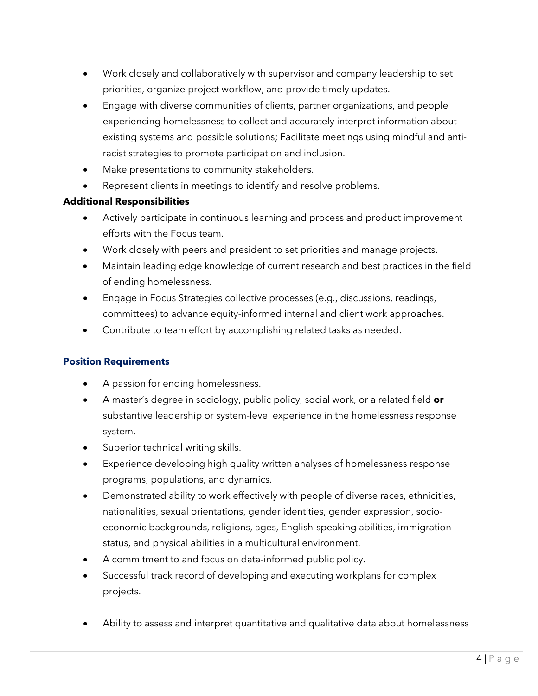- Work closely and collaboratively with supervisor and company leadership to set priorities, organize project workflow, and provide timely updates.
- Engage with diverse communities of clients, partner organizations, and people experiencing homelessness to collect and accurately interpret information about existing systems and possible solutions; Facilitate meetings using mindful and antiracist strategies to promote participation and inclusion.
- Make presentations to community stakeholders.
- Represent clients in meetings to identify and resolve problems.

# **Additional Responsibilities**

- Actively participate in continuous learning and process and product improvement efforts with the Focus team.
- Work closely with peers and president to set priorities and manage projects.
- Maintain leading edge knowledge of current research and best practices in the field of ending homelessness.
- Engage in Focus Strategies collective processes (e.g., discussions, readings, committees) to advance equity-informed internal and client work approaches.
- Contribute to team effort by accomplishing related tasks as needed.

# **Position Requirements**

- A passion for ending homelessness.
- A master's degree in sociology, public policy, social work, or a related field **or** substantive leadership or system-level experience in the homelessness response system.
- Superior technical writing skills.
- Experience developing high quality written analyses of homelessness response programs, populations, and dynamics.
- Demonstrated ability to work effectively with people of diverse races, ethnicities, nationalities, sexual orientations, gender identities, gender expression, socioeconomic backgrounds, religions, ages, English-speaking abilities, immigration status, and physical abilities in a multicultural environment.
- A commitment to and focus on data-informed public policy.
- Successful track record of developing and executing workplans for complex projects.
- Ability to assess and interpret quantitative and qualitative data about homelessness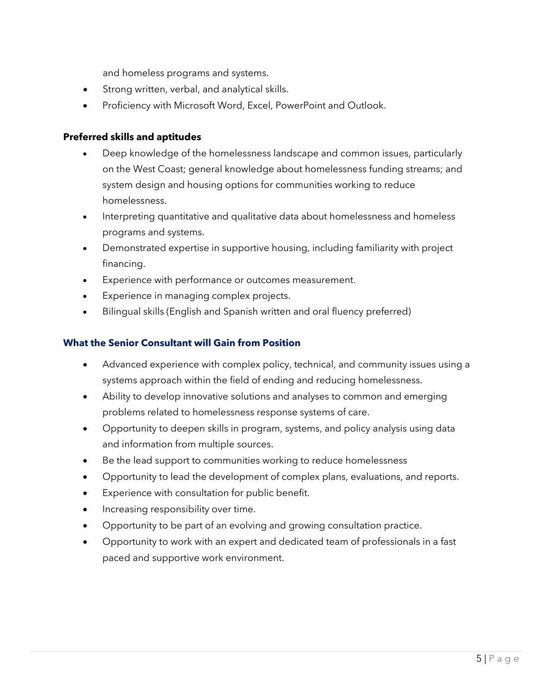and homeless programs and systems.

- Strong written, verbal, and analytical skills.
- Proficiency with Microsoft Word, Excel, PowerPoint and Outlook.

#### **Preferred skills and aptitudes**

- Deep knowledge of the homelessness landscape and common issues, particularly on the West Coast; general knowledge about homelessness funding streams; and system design and housing options for communities working to reduce homelessness.
- Interpreting quantitative and qualitative data about homelessness and homeless programs and systems.
- Demonstrated expertise in supportive housing, including familiarity with project financing.
- Experience with performance or outcomes measurement.
- Experience in managing complex projects.
- Bilingual skills (English and Spanish written and oral fluency preferred)

#### **What the Senior Consultant will Gain from Position**

- Advanced experience with complex policy, technical, and community issues using a systems approach within the field of ending and reducing homelessness.
- Ability to develop innovative solutions and analyses to common and emerging problems related to homelessness response systems of care.
- Opportunity to deepen skills in program, systems, and policy analysis using data and information from multiple sources.
- Be the lead support to communities working to reduce homelessness
- Opportunity to lead the development of complex plans, evaluations, and reports.
- Experience with consultation for public benefit.
- Increasing responsibility over time.
- Opportunity to be part of an evolving and growing consultation practice.
- Opportunity to work with an expert and dedicated team of professionals in a fast paced and supportive work environment.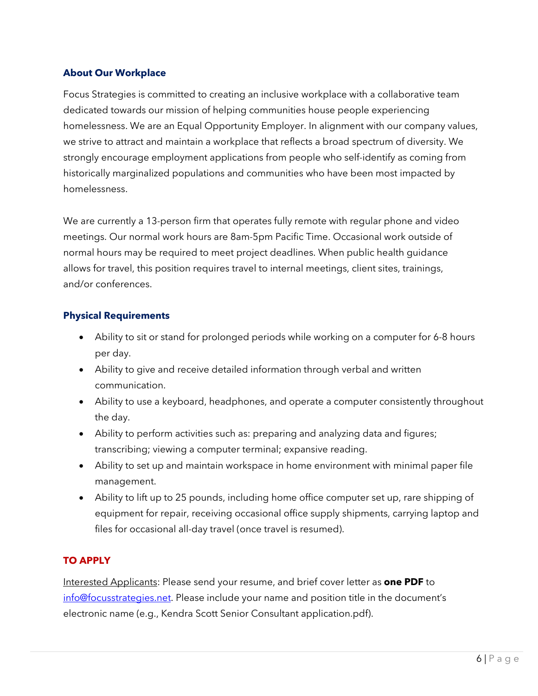# **About Our Workplace**

Focus Strategies is committed to creating an inclusive workplace with a collaborative team dedicated towards our mission of helping communities house people experiencing homelessness. We are an Equal Opportunity Employer. In alignment with our company values, we strive to attract and maintain a workplace that reflects a broad spectrum of diversity. We strongly encourage employment applications from people who self-identify as coming from historically marginalized populations and communities who have been most impacted by homelessness.

We are currently a 13-person firm that operates fully remote with regular phone and video meetings. Our normal work hours are 8am-5pm Pacific Time. Occasional work outside of normal hours may be required to meet project deadlines. When public health guidance allows for travel, this position requires travel to internal meetings, client sites, trainings, and/or conferences.

#### **Physical Requirements**

- Ability to sit or stand for prolonged periods while working on a computer for 6-8 hours per day.
- Ability to give and receive detailed information through verbal and written communication.
- Ability to use a keyboard, headphones, and operate a computer consistently throughout the day.
- Ability to perform activities such as: preparing and analyzing data and figures; transcribing; viewing a computer terminal; expansive reading.
- Ability to set up and maintain workspace in home environment with minimal paper file management.
- Ability to lift up to 25 pounds, including home office computer set up, rare shipping of equipment for repair, receiving occasional office supply shipments, carrying laptop and files for occasional all-day travel (once travel is resumed).

# **TO APPLY**

Interested Applicants: Please send your resume, and brief cover letter as **one PDF** to [info@focusstrategies.net.](mailto:nina@focusstrategies.net) Please include your name and position title in the document's electronic name (e.g., Kendra Scott Senior Consultant application.pdf).